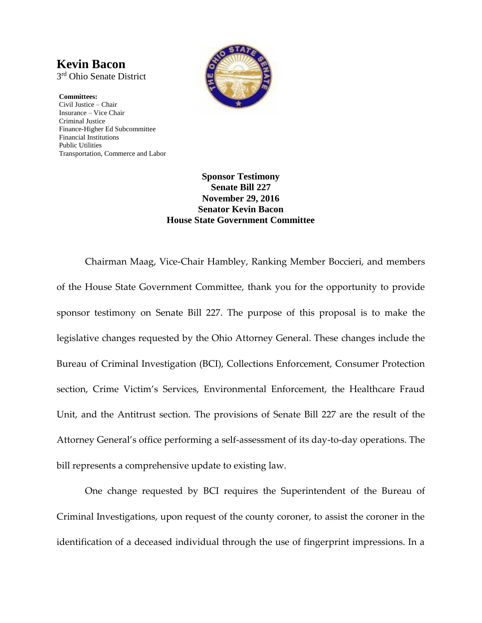## **Kevin Bacon**

3 rd Ohio Senate District

**Committees:** Civil Justice – Chair Insurance – Vice Chair Criminal Justice Finance-Higher Ed Subcommittee Financial Institutions Public Utilities Transportation, Commerce and Labor



## **Sponsor Testimony Senate Bill 227 November 29, 2016 Senator Kevin Bacon House State Government Committee**

Chairman Maag, Vice-Chair Hambley, Ranking Member Boccieri, and members of the House State Government Committee, thank you for the opportunity to provide sponsor testimony on Senate Bill 227. The purpose of this proposal is to make the legislative changes requested by the Ohio Attorney General. These changes include the Bureau of Criminal Investigation (BCI), Collections Enforcement, Consumer Protection section, Crime Victim's Services, Environmental Enforcement, the Healthcare Fraud Unit, and the Antitrust section. The provisions of Senate Bill 227 are the result of the Attorney General's office performing a self-assessment of its day-to-day operations. The bill represents a comprehensive update to existing law.

One change requested by BCI requires the Superintendent of the Bureau of Criminal Investigations, upon request of the county coroner, to assist the coroner in the identification of a deceased individual through the use of fingerprint impressions. In a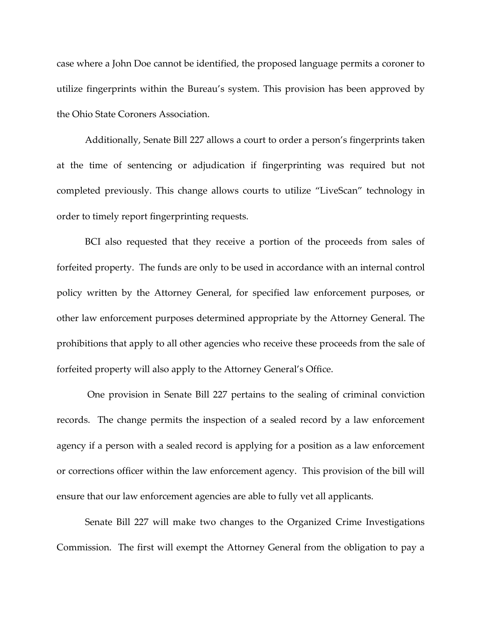case where a John Doe cannot be identified, the proposed language permits a coroner to utilize fingerprints within the Bureau's system. This provision has been approved by the Ohio State Coroners Association.

Additionally, Senate Bill 227 allows a court to order a person's fingerprints taken at the time of sentencing or adjudication if fingerprinting was required but not completed previously. This change allows courts to utilize "LiveScan" technology in order to timely report fingerprinting requests.

BCI also requested that they receive a portion of the proceeds from sales of forfeited property. The funds are only to be used in accordance with an internal control policy written by the Attorney General, for specified law enforcement purposes, or other law enforcement purposes determined appropriate by the Attorney General. The prohibitions that apply to all other agencies who receive these proceeds from the sale of forfeited property will also apply to the Attorney General's Office.

One provision in Senate Bill 227 pertains to the sealing of criminal conviction records. The change permits the inspection of a sealed record by a law enforcement agency if a person with a sealed record is applying for a position as a law enforcement or corrections officer within the law enforcement agency. This provision of the bill will ensure that our law enforcement agencies are able to fully vet all applicants.

Senate Bill 227 will make two changes to the Organized Crime Investigations Commission. The first will exempt the Attorney General from the obligation to pay a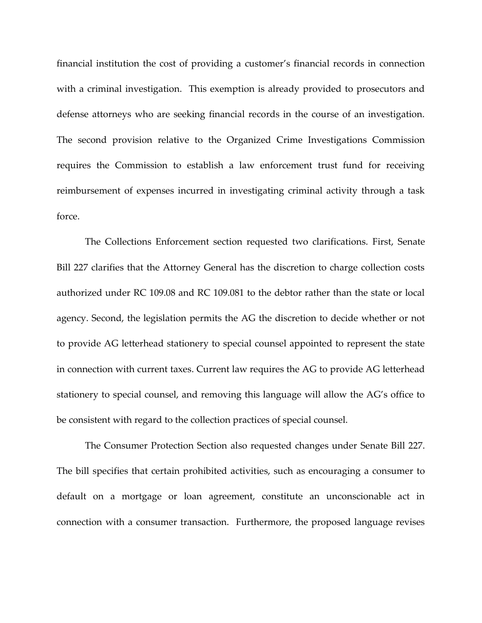financial institution the cost of providing a customer's financial records in connection with a criminal investigation. This exemption is already provided to prosecutors and defense attorneys who are seeking financial records in the course of an investigation. The second provision relative to the Organized Crime Investigations Commission requires the Commission to establish a law enforcement trust fund for receiving reimbursement of expenses incurred in investigating criminal activity through a task force.

The Collections Enforcement section requested two clarifications. First, Senate Bill 227 clarifies that the Attorney General has the discretion to charge collection costs authorized under RC 109.08 and RC 109.081 to the debtor rather than the state or local agency. Second, the legislation permits the AG the discretion to decide whether or not to provide AG letterhead stationery to special counsel appointed to represent the state in connection with current taxes. Current law requires the AG to provide AG letterhead stationery to special counsel, and removing this language will allow the AG's office to be consistent with regard to the collection practices of special counsel.

The Consumer Protection Section also requested changes under Senate Bill 227. The bill specifies that certain prohibited activities, such as encouraging a consumer to default on a mortgage or loan agreement, constitute an unconscionable act in connection with a consumer transaction. Furthermore, the proposed language revises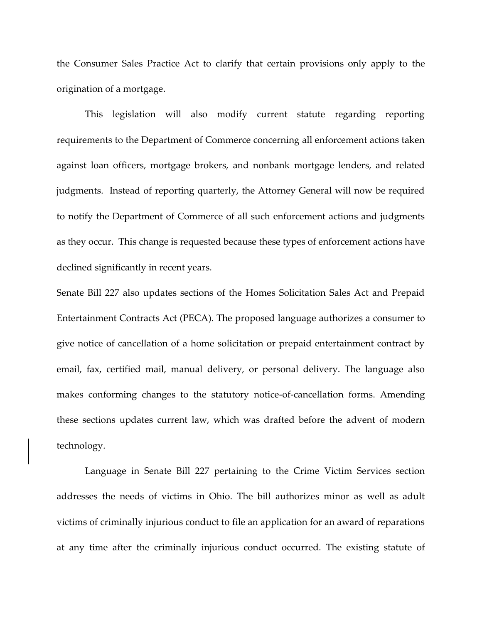the Consumer Sales Practice Act to clarify that certain provisions only apply to the origination of a mortgage.

This legislation will also modify current statute regarding reporting requirements to the Department of Commerce concerning all enforcement actions taken against loan officers, mortgage brokers, and nonbank mortgage lenders, and related judgments. Instead of reporting quarterly, the Attorney General will now be required to notify the Department of Commerce of all such enforcement actions and judgments as they occur. This change is requested because these types of enforcement actions have declined significantly in recent years.

Senate Bill 227 also updates sections of the Homes Solicitation Sales Act and Prepaid Entertainment Contracts Act (PECA). The proposed language authorizes a consumer to give notice of cancellation of a home solicitation or prepaid entertainment contract by email, fax, certified mail, manual delivery, or personal delivery. The language also makes conforming changes to the statutory notice-of-cancellation forms. Amending these sections updates current law, which was drafted before the advent of modern technology.

Language in Senate Bill 227 pertaining to the Crime Victim Services section addresses the needs of victims in Ohio. The bill authorizes minor as well as adult victims of criminally injurious conduct to file an application for an award of reparations at any time after the criminally injurious conduct occurred. The existing statute of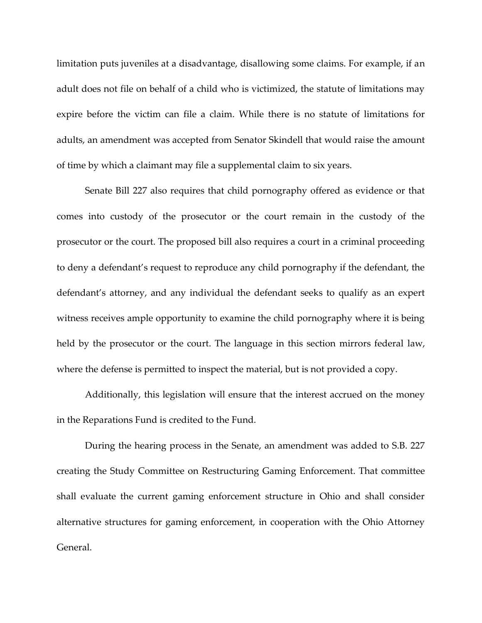limitation puts juveniles at a disadvantage, disallowing some claims. For example, if an adult does not file on behalf of a child who is victimized, the statute of limitations may expire before the victim can file a claim. While there is no statute of limitations for adults, an amendment was accepted from Senator Skindell that would raise the amount of time by which a claimant may file a supplemental claim to six years.

Senate Bill 227 also requires that child pornography offered as evidence or that comes into custody of the prosecutor or the court remain in the custody of the prosecutor or the court. The proposed bill also requires a court in a criminal proceeding to deny a defendant's request to reproduce any child pornography if the defendant, the defendant's attorney, and any individual the defendant seeks to qualify as an expert witness receives ample opportunity to examine the child pornography where it is being held by the prosecutor or the court. The language in this section mirrors federal law, where the defense is permitted to inspect the material, but is not provided a copy.

Additionally, this legislation will ensure that the interest accrued on the money in the Reparations Fund is credited to the Fund.

During the hearing process in the Senate, an amendment was added to S.B. 227 creating the Study Committee on Restructuring Gaming Enforcement. That committee shall evaluate the current gaming enforcement structure in Ohio and shall consider alternative structures for gaming enforcement, in cooperation with the Ohio Attorney General.